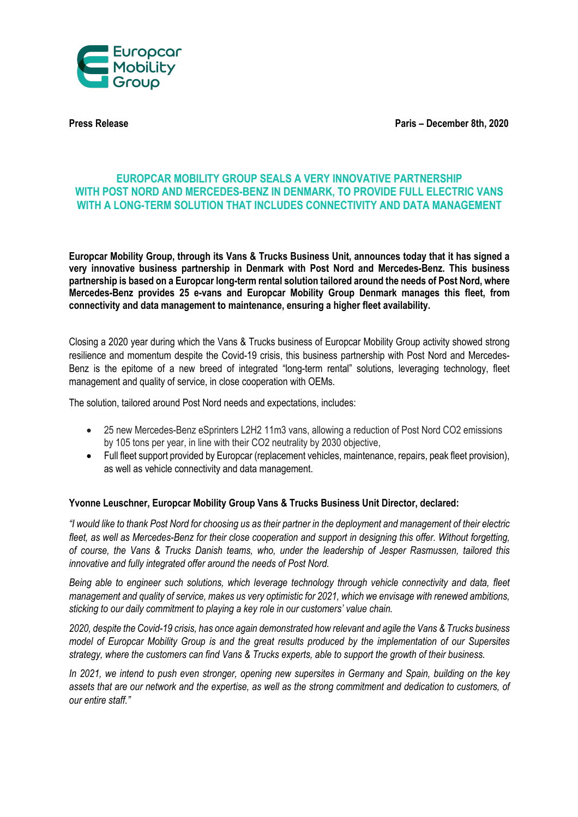

**Press Release Paris – December 8th, 2020**

# **EUROPCAR MOBILITY GROUP SEALS A VERY INNOVATIVE PARTNERSHIP WITH POST NORD AND MERCEDES-BENZ IN DENMARK, TO PROVIDE FULL ELECTRIC VANS WITH A LONG-TERM SOLUTION THAT INCLUDES CONNECTIVITY AND DATA MANAGEMENT**

**Europcar Mobility Group, through its Vans & Trucks Business Unit, announces today that it has signed a very innovative business partnership in Denmark with Post Nord and Mercedes-Benz. This business partnership is based on a Europcar long-term rental solution tailored around the needs of Post Nord, where Mercedes-Benz provides 25 e-vans and Europcar Mobility Group Denmark manages this fleet, from connectivity and data management to maintenance, ensuring a higher fleet availability.**

Closing a 2020 year during which the Vans & Trucks business of Europcar Mobility Group activity showed strong resilience and momentum despite the Covid-19 crisis, this business partnership with Post Nord and Mercedes-Benz is the epitome of a new breed of integrated "long-term rental" solutions, leveraging technology, fleet management and quality of service, in close cooperation with OEMs.

The solution, tailored around Post Nord needs and expectations, includes:

- 25 new Mercedes-Benz eSprinters L2H2 11m3 vans, allowing a reduction of Post Nord CO2 emissions by 105 tons per year, in line with their CO2 neutrality by 2030 objective,
- Full fleet support provided by Europcar (replacement vehicles, maintenance, repairs, peak fleet provision), as well as vehicle connectivity and data management.

## **Yvonne Leuschner, Europcar Mobility Group Vans & Trucks Business Unit Director, declared:**

*"I would like to thank Post Nord for choosing us as their partner in the deployment and management of their electric fleet, as well as Mercedes-Benz for their close cooperation and support in designing this offer. Without forgetting, of course, the Vans & Trucks Danish teams, who, under the leadership of Jesper Rasmussen, tailored this innovative and fully integrated offer around the needs of Post Nord.*

*Being able to engineer such solutions, which leverage technology through vehicle connectivity and data, fleet management and quality of service, makes us very optimistic for 2021, which we envisage with renewed ambitions, sticking to our daily commitment to playing a key role in our customers' value chain.*

*2020, despite the Covid-19 crisis, has once again demonstrated how relevant and agile the Vans & Trucks business model of Europcar Mobility Group is and the great results produced by the implementation of our Supersites strategy, where the customers can find Vans & Trucks experts, able to support the growth of their business.*

*In 2021, we intend to push even stronger, opening new supersites in Germany and Spain, building on the key assets that are our network and the expertise, as well as the strong commitment and dedication to customers, of our entire staff."*